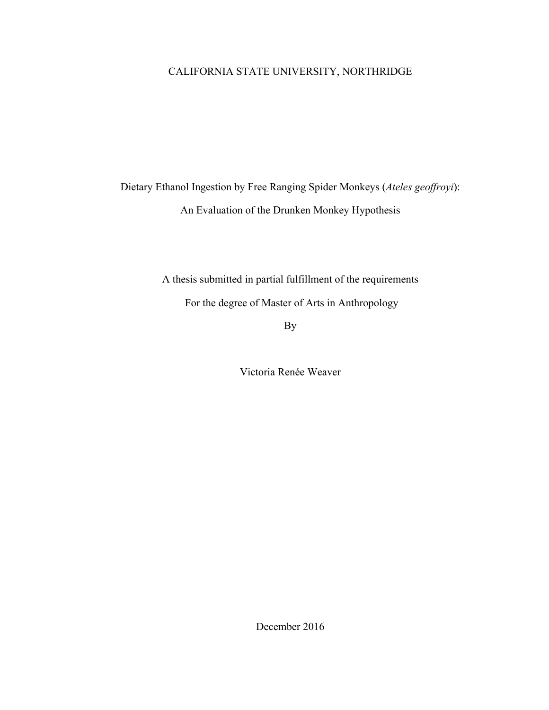## CALIFORNIA STATE UNIVERSITY, NORTHRIDGE

Dietary Ethanol Ingestion by Free Ranging Spider Monkeys (*Ateles geoffroyi*): An Evaluation of the Drunken Monkey Hypothesis

> A thesis submitted in partial fulfillment of the requirements For the degree of Master of Arts in Anthropology

> > By

Victoria Renée Weaver

December 2016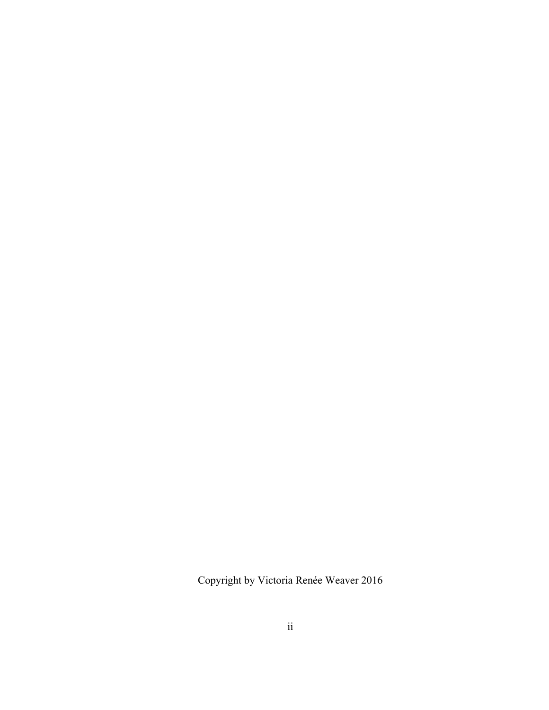Copyright by Victoria Renée Weaver 2016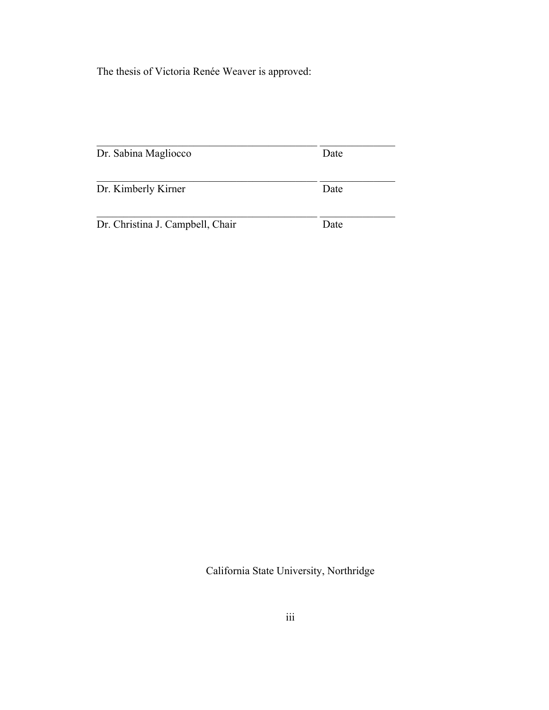The thesis of Victoria Renée Weaver is approved:

| Dr. Sabina Magliocco             | Date |
|----------------------------------|------|
| Dr. Kimberly Kirner              | Date |
| Dr. Christina J. Campbell, Chair | Date |

California State University, Northridge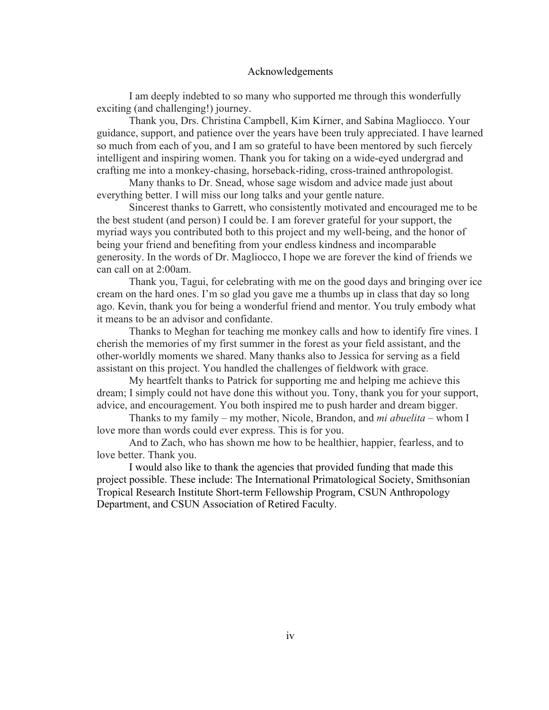#### Acknowledgements

I am deeply indebted to so many who supported me through this wonderfully exciting (and challenging!) journey.

Thank you, Drs. Christina Campbell, Kim Kirner, and Sabina Magliocco. Your guidance, support, and patience over the years have been truly appreciated. I have learned so much from each of you, and I am so grateful to have been mentored by such fiercely intelligent and inspiring women. Thank you for taking on a wide-eyed undergrad and crafting me into a monkey-chasing, horseback-riding, cross-trained anthropologist.

Many thanks to Dr. Snead, whose sage wisdom and advice made just about everything better. I will miss our long talks and your gentle nature.

Sincerest thanks to Garrett, who consistently motivated and encouraged me to be the best student (and person) I could be. I am forever grateful for your support, the myriad ways you contributed both to this project and my well-being, and the honor of being your friend and benefiting from your endless kindness and incomparable generosity. In the words of Dr. Magliocco, I hope we are forever the kind of friends we can call on at 2:00am.

Thank you, Tagui, for celebrating with me on the good days and bringing over ice cream on the hard ones. I'm so glad you gave me a thumbs up in class that day so long ago. Kevin, thank you for being a wonderful friend and mentor. You truly embody what it means to be an advisor and confidante.

Thanks to Meghan for teaching me monkey calls and how to identify fire vines. I cherish the memories of my first summer in the forest as your field assistant, and the other-worldly moments we shared. Many thanks also to Jessica for serving as a field assistant on this project. You handled the challenges of fieldwork with grace.

My heartfelt thanks to Patrick for supporting me and helping me achieve this dream; I simply could not have done this without you. Tony, thank you for your support, advice, and encouragement. You both inspired me to push harder and dream bigger.

Thanks to my family – my mother, Nicole, Brandon, and *mi abuelita* – whom I love more than words could ever express. This is for you.

And to Zach, who has shown me how to be healthier, happier, fearless, and to love better. Thank you.

I would also like to thank the agencies that provided funding that made this project possible. These include: The International Primatological Society, Smithsonian Tropical Research Institute Short-term Fellowship Program, CSUN Anthropology Department, and CSUN Association of Retired Faculty.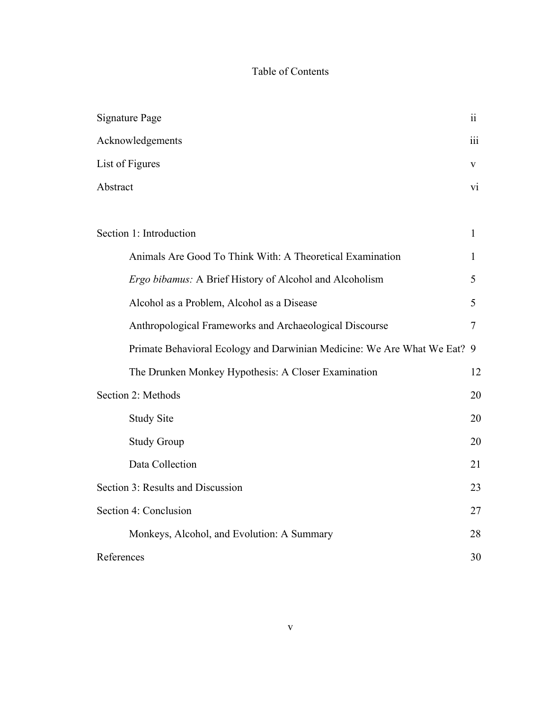## Table of Contents

| <b>Signature Page</b>                                                    | 11  |
|--------------------------------------------------------------------------|-----|
| Acknowledgements                                                         | iii |
| List of Figures                                                          | V   |
| Abstract                                                                 | V1  |
|                                                                          |     |
| Section 1: Introduction                                                  | 1   |
| Animals Are Good To Think With: A Theoretical Examination                | 1   |
| Ergo bibamus: A Brief History of Alcohol and Alcoholism                  | 5   |
| Alcohol as a Problem, Alcohol as a Disease                               | 5   |
| Anthropological Frameworks and Archaeological Discourse                  | 7   |
| Primate Behavioral Ecology and Darwinian Medicine: We Are What We Eat? 9 |     |
| The Drunken Monkey Hypothesis: A Closer Examination                      | 12  |
| Section 2: Methods                                                       | 20  |
| <b>Study Site</b>                                                        | 20  |
| <b>Study Group</b>                                                       | 20  |
| Data Collection                                                          | 21  |
| Section 3: Results and Discussion                                        | 23  |
| Section 4: Conclusion                                                    | 27  |
| Monkeys, Alcohol, and Evolution: A Summary                               | 28  |
| References                                                               | 30  |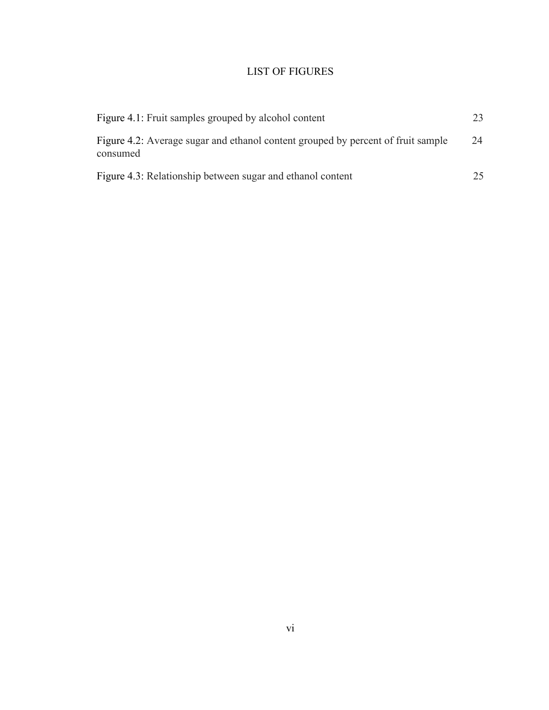## LIST OF FIGURES

| Figure 4.1: Fruit samples grouped by alcohol content                                         |    |
|----------------------------------------------------------------------------------------------|----|
| Figure 4.2: Average sugar and ethanol content grouped by percent of fruit sample<br>consumed | 24 |
| Figure 4.3: Relationship between sugar and ethanol content                                   | 25 |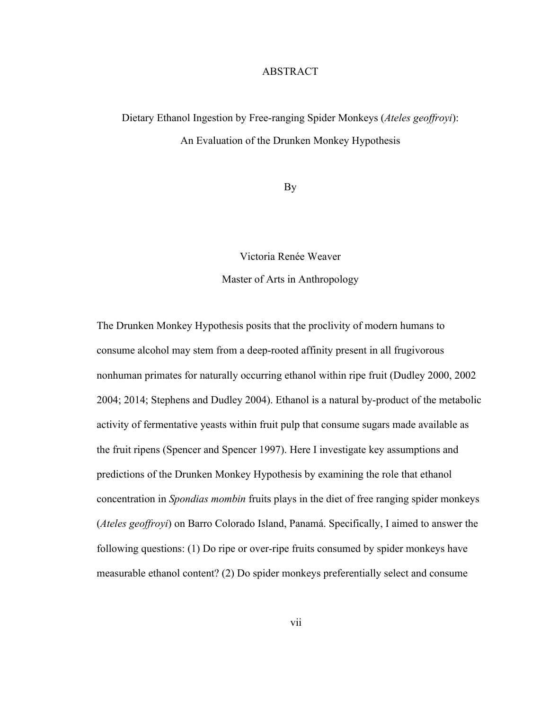#### **ABSTRACT**

# Dietary Ethanol Ingestion by Free-ranging Spider Monkeys (*Ateles geoffroyi*): An Evaluation of the Drunken Monkey Hypothesis

By

Victoria Renée Weaver

Master of Arts in Anthropology

The Drunken Monkey Hypothesis posits that the proclivity of modern humans to consume alcohol may stem from a deep-rooted affinity present in all frugivorous nonhuman primates for naturally occurring ethanol within ripe fruit (Dudley 2000, 2002 2004; 2014; Stephens and Dudley 2004). Ethanol is a natural by-product of the metabolic activity of fermentative yeasts within fruit pulp that consume sugars made available as the fruit ripens (Spencer and Spencer 1997). Here I investigate key assumptions and predictions of the Drunken Monkey Hypothesis by examining the role that ethanol concentration in *Spondias mombin* fruits plays in the diet of free ranging spider monkeys (*Ateles geoffroyi*) on Barro Colorado Island, Panamá. Specifically, I aimed to answer the following questions: (1) Do ripe or over-ripe fruits consumed by spider monkeys have measurable ethanol content? (2) Do spider monkeys preferentially select and consume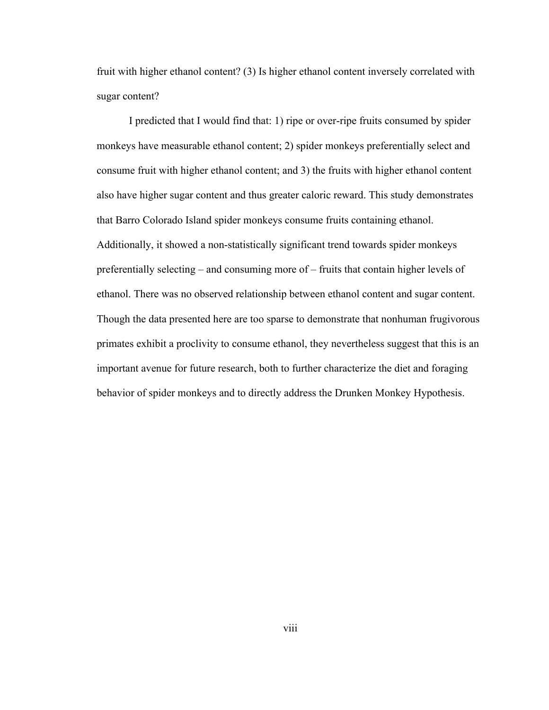fruit with higher ethanol content? (3) Is higher ethanol content inversely correlated with sugar content?

I predicted that I would find that: 1) ripe or over-ripe fruits consumed by spider monkeys have measurable ethanol content; 2) spider monkeys preferentially select and consume fruit with higher ethanol content; and 3) the fruits with higher ethanol content also have higher sugar content and thus greater caloric reward. This study demonstrates that Barro Colorado Island spider monkeys consume fruits containing ethanol. Additionally, it showed a non-statistically significant trend towards spider monkeys preferentially selecting – and consuming more of – fruits that contain higher levels of ethanol. There was no observed relationship between ethanol content and sugar content. Though the data presented here are too sparse to demonstrate that nonhuman frugivorous primates exhibit a proclivity to consume ethanol, they nevertheless suggest that this is an important avenue for future research, both to further characterize the diet and foraging behavior of spider monkeys and to directly address the Drunken Monkey Hypothesis.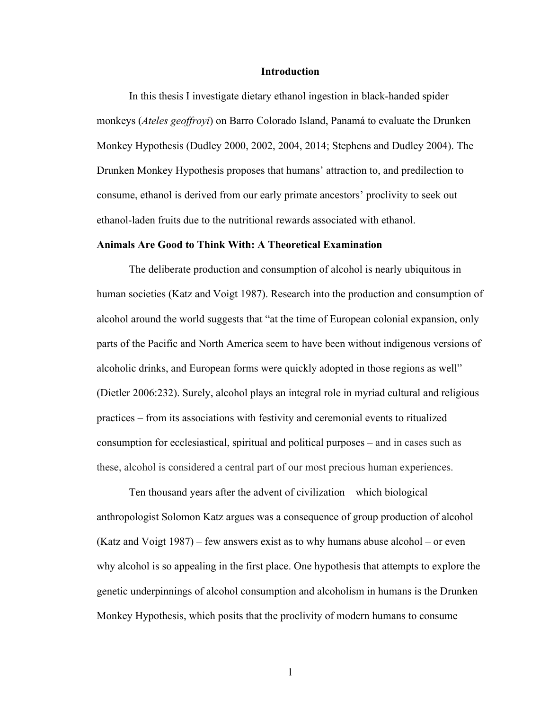#### **Introduction**

In this thesis I investigate dietary ethanol ingestion in black-handed spider monkeys (*Ateles geoffroyi*) on Barro Colorado Island, Panamá to evaluate the Drunken Monkey Hypothesis (Dudley 2000, 2002, 2004, 2014; Stephens and Dudley 2004). The Drunken Monkey Hypothesis proposes that humans' attraction to, and predilection to consume, ethanol is derived from our early primate ancestors' proclivity to seek out ethanol-laden fruits due to the nutritional rewards associated with ethanol.

#### **Animals Are Good to Think With: A Theoretical Examination**

The deliberate production and consumption of alcohol is nearly ubiquitous in human societies (Katz and Voigt 1987). Research into the production and consumption of alcohol around the world suggests that "at the time of European colonial expansion, only parts of the Pacific and North America seem to have been without indigenous versions of alcoholic drinks, and European forms were quickly adopted in those regions as well" (Dietler 2006:232). Surely, alcohol plays an integral role in myriad cultural and religious practices – from its associations with festivity and ceremonial events to ritualized consumption for ecclesiastical, spiritual and political purposes – and in cases such as these, alcohol is considered a central part of our most precious human experiences.

Ten thousand years after the advent of civilization – which biological anthropologist Solomon Katz argues was a consequence of group production of alcohol (Katz and Voigt 1987) – few answers exist as to why humans abuse alcohol – or even why alcohol is so appealing in the first place. One hypothesis that attempts to explore the genetic underpinnings of alcohol consumption and alcoholism in humans is the Drunken Monkey Hypothesis, which posits that the proclivity of modern humans to consume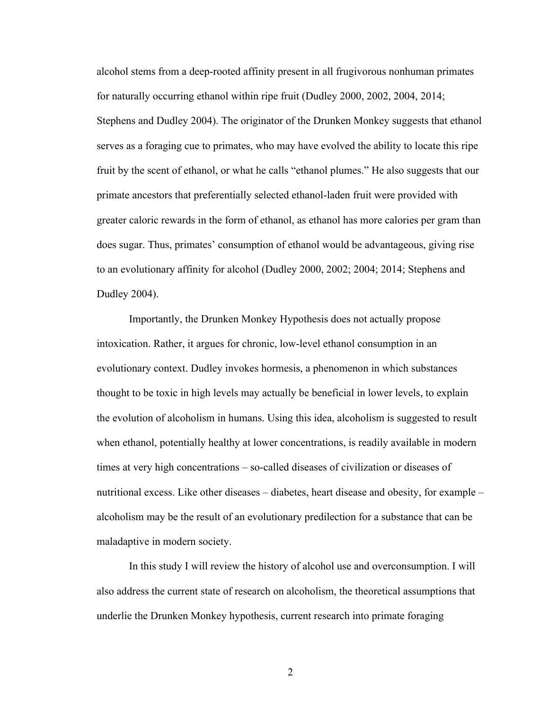alcohol stems from a deep-rooted affinity present in all frugivorous nonhuman primates for naturally occurring ethanol within ripe fruit (Dudley 2000, 2002, 2004, 2014; Stephens and Dudley 2004). The originator of the Drunken Monkey suggests that ethanol serves as a foraging cue to primates, who may have evolved the ability to locate this ripe fruit by the scent of ethanol, or what he calls "ethanol plumes." He also suggests that our primate ancestors that preferentially selected ethanol-laden fruit were provided with greater caloric rewards in the form of ethanol, as ethanol has more calories per gram than does sugar. Thus, primates' consumption of ethanol would be advantageous, giving rise to an evolutionary affinity for alcohol (Dudley 2000, 2002; 2004; 2014; Stephens and Dudley 2004).

Importantly, the Drunken Monkey Hypothesis does not actually propose intoxication. Rather, it argues for chronic, low-level ethanol consumption in an evolutionary context. Dudley invokes hormesis, a phenomenon in which substances thought to be toxic in high levels may actually be beneficial in lower levels, to explain the evolution of alcoholism in humans. Using this idea, alcoholism is suggested to result when ethanol, potentially healthy at lower concentrations, is readily available in modern times at very high concentrations – so-called diseases of civilization or diseases of nutritional excess. Like other diseases – diabetes, heart disease and obesity, for example – alcoholism may be the result of an evolutionary predilection for a substance that can be maladaptive in modern society.

In this study I will review the history of alcohol use and overconsumption. I will also address the current state of research on alcoholism, the theoretical assumptions that underlie the Drunken Monkey hypothesis, current research into primate foraging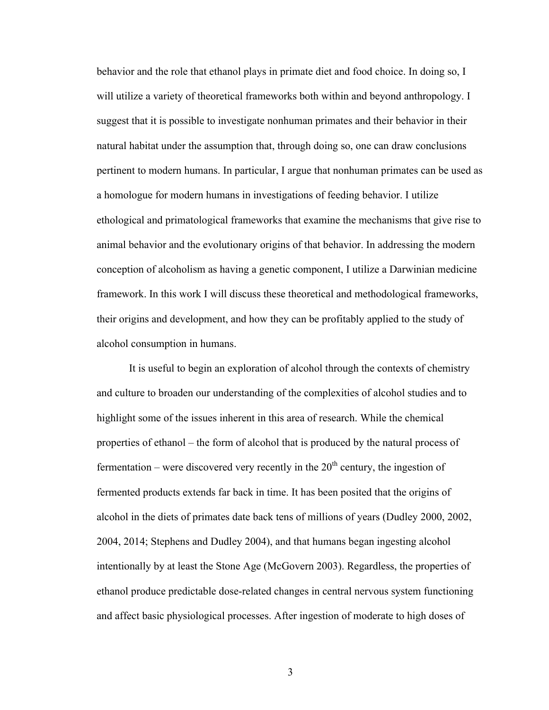behavior and the role that ethanol plays in primate diet and food choice. In doing so, I will utilize a variety of theoretical frameworks both within and beyond anthropology. I suggest that it is possible to investigate nonhuman primates and their behavior in their natural habitat under the assumption that, through doing so, one can draw conclusions pertinent to modern humans. In particular, I argue that nonhuman primates can be used as a homologue for modern humans in investigations of feeding behavior. I utilize ethological and primatological frameworks that examine the mechanisms that give rise to animal behavior and the evolutionary origins of that behavior. In addressing the modern conception of alcoholism as having a genetic component, I utilize a Darwinian medicine framework. In this work I will discuss these theoretical and methodological frameworks, their origins and development, and how they can be profitably applied to the study of alcohol consumption in humans.

It is useful to begin an exploration of alcohol through the contexts of chemistry and culture to broaden our understanding of the complexities of alcohol studies and to highlight some of the issues inherent in this area of research. While the chemical properties of ethanol – the form of alcohol that is produced by the natural process of fermentation – were discovered very recently in the  $20<sup>th</sup>$  century, the ingestion of fermented products extends far back in time. It has been posited that the origins of alcohol in the diets of primates date back tens of millions of years (Dudley 2000, 2002, 2004, 2014; Stephens and Dudley 2004), and that humans began ingesting alcohol intentionally by at least the Stone Age (McGovern 2003). Regardless, the properties of ethanol produce predictable dose-related changes in central nervous system functioning and affect basic physiological processes. After ingestion of moderate to high doses of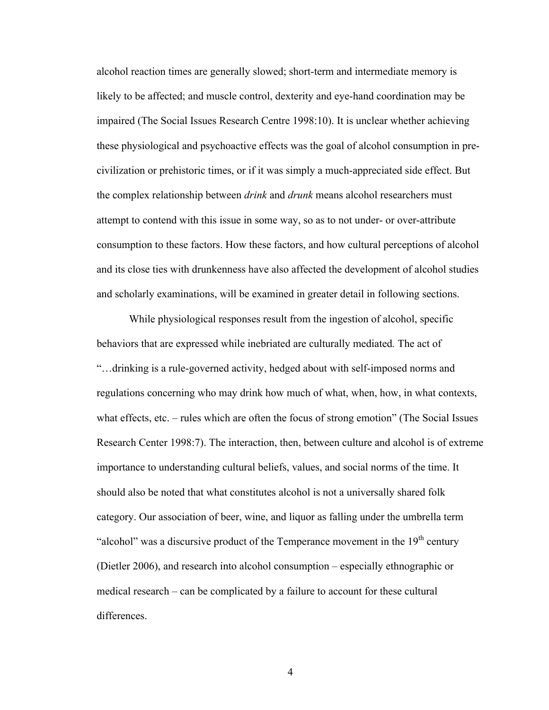alcohol reaction times are generally slowed; short-term and intermediate memory is likely to be affected; and muscle control, dexterity and eye-hand coordination may be impaired (The Social Issues Research Centre 1998:10). It is unclear whether achieving these physiological and psychoactive effects was the goal of alcohol consumption in precivilization or prehistoric times, or if it was simply a much-appreciated side effect. But the complex relationship between *drink* and *drunk* means alcohol researchers must attempt to contend with this issue in some way, so as to not under- or over-attribute consumption to these factors. How these factors, and how cultural perceptions of alcohol and its close ties with drunkenness have also affected the development of alcohol studies and scholarly examinations, will be examined in greater detail in following sections.

While physiological responses result from the ingestion of alcohol, specific behaviors that are expressed while inebriated are culturally mediated*.* The act of "…drinking is a rule-governed activity, hedged about with self-imposed norms and regulations concerning who may drink how much of what, when, how, in what contexts, what effects, etc. – rules which are often the focus of strong emotion" (The Social Issues Research Center 1998:7). The interaction, then, between culture and alcohol is of extreme importance to understanding cultural beliefs, values, and social norms of the time. It should also be noted that what constitutes alcohol is not a universally shared folk category. Our association of beer, wine, and liquor as falling under the umbrella term "alcohol" was a discursive product of the Temperance movement in the  $19<sup>th</sup>$  century (Dietler 2006), and research into alcohol consumption – especially ethnographic or medical research – can be complicated by a failure to account for these cultural differences.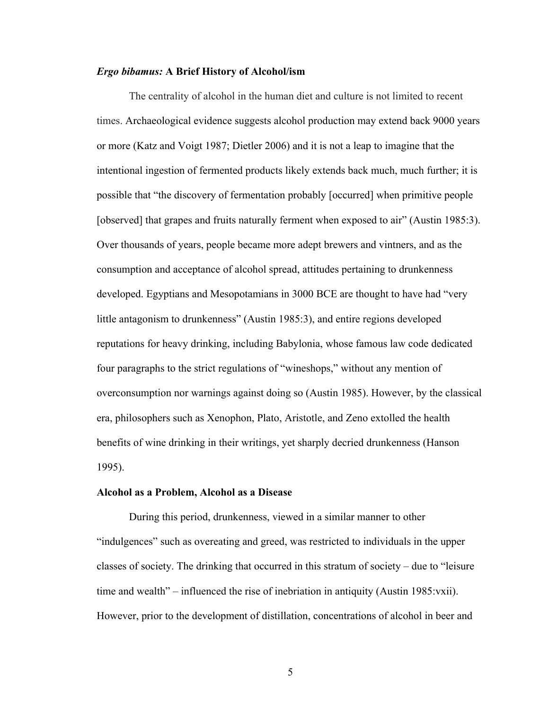#### *Ergo bibamus:* **A Brief History of Alcohol/ism**

The centrality of alcohol in the human diet and culture is not limited to recent times. Archaeological evidence suggests alcohol production may extend back 9000 years or more (Katz and Voigt 1987; Dietler 2006) and it is not a leap to imagine that the intentional ingestion of fermented products likely extends back much, much further; it is possible that "the discovery of fermentation probably [occurred] when primitive people [observed] that grapes and fruits naturally ferment when exposed to air" (Austin 1985:3). Over thousands of years, people became more adept brewers and vintners, and as the consumption and acceptance of alcohol spread, attitudes pertaining to drunkenness developed. Egyptians and Mesopotamians in 3000 BCE are thought to have had "very little antagonism to drunkenness" (Austin 1985:3), and entire regions developed reputations for heavy drinking, including Babylonia, whose famous law code dedicated four paragraphs to the strict regulations of "wineshops," without any mention of overconsumption nor warnings against doing so (Austin 1985). However, by the classical era, philosophers such as Xenophon, Plato, Aristotle, and Zeno extolled the health benefits of wine drinking in their writings, yet sharply decried drunkenness (Hanson 1995).

#### **Alcohol as a Problem, Alcohol as a Disease**

During this period, drunkenness, viewed in a similar manner to other "indulgences" such as overeating and greed, was restricted to individuals in the upper classes of society. The drinking that occurred in this stratum of society – due to "leisure time and wealth" – influenced the rise of inebriation in antiquity (Austin 1985:vxii). However, prior to the development of distillation, concentrations of alcohol in beer and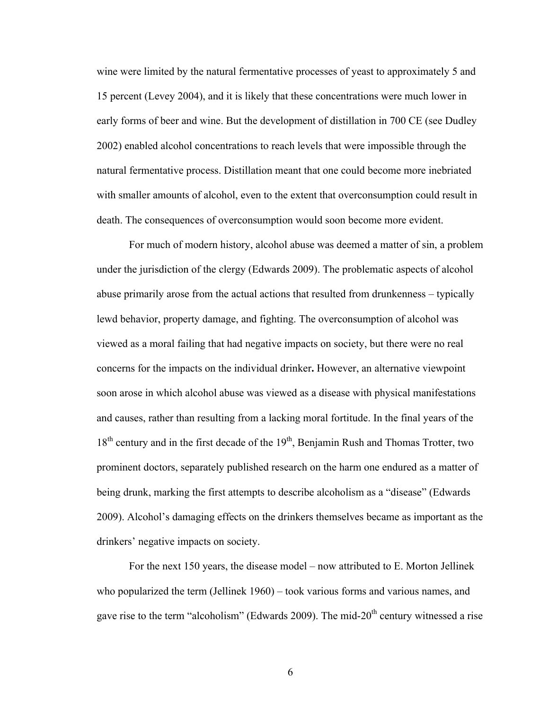wine were limited by the natural fermentative processes of yeast to approximately 5 and 15 percent (Levey 2004), and it is likely that these concentrations were much lower in early forms of beer and wine. But the development of distillation in 700 CE (see Dudley 2002) enabled alcohol concentrations to reach levels that were impossible through the natural fermentative process. Distillation meant that one could become more inebriated with smaller amounts of alcohol, even to the extent that overconsumption could result in death. The consequences of overconsumption would soon become more evident.

For much of modern history, alcohol abuse was deemed a matter of sin, a problem under the jurisdiction of the clergy (Edwards 2009). The problematic aspects of alcohol abuse primarily arose from the actual actions that resulted from drunkenness – typically lewd behavior, property damage, and fighting. The overconsumption of alcohol was viewed as a moral failing that had negative impacts on society, but there were no real concerns for the impacts on the individual drinker**.** However, an alternative viewpoint soon arose in which alcohol abuse was viewed as a disease with physical manifestations and causes, rather than resulting from a lacking moral fortitude. In the final years of the  $18<sup>th</sup>$  century and in the first decade of the  $19<sup>th</sup>$ , Benjamin Rush and Thomas Trotter, two prominent doctors, separately published research on the harm one endured as a matter of being drunk, marking the first attempts to describe alcoholism as a "disease" (Edwards 2009). Alcohol's damaging effects on the drinkers themselves became as important as the drinkers' negative impacts on society.

For the next 150 years, the disease model – now attributed to E. Morton Jellinek who popularized the term (Jellinek 1960) – took various forms and various names, and gave rise to the term "alcoholism" (Edwards 2009). The mid- $20<sup>th</sup>$  century witnessed a rise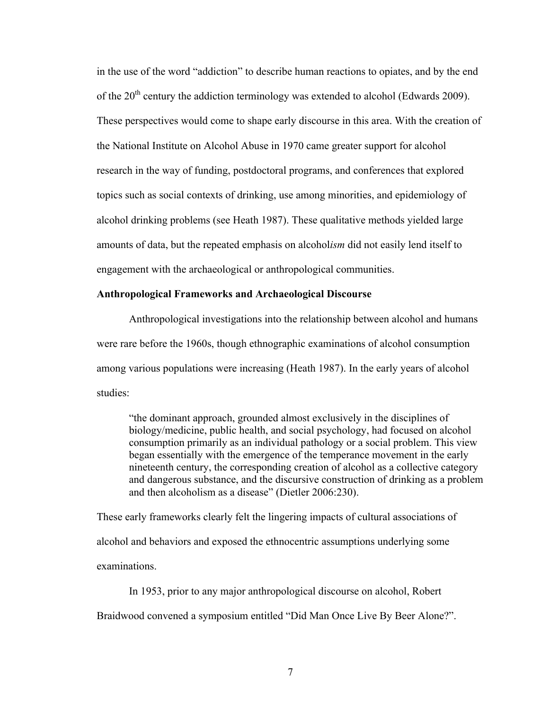in the use of the word "addiction" to describe human reactions to opiates, and by the end of the  $20<sup>th</sup>$  century the addiction terminology was extended to alcohol (Edwards 2009). These perspectives would come to shape early discourse in this area. With the creation of the National Institute on Alcohol Abuse in 1970 came greater support for alcohol research in the way of funding, postdoctoral programs, and conferences that explored topics such as social contexts of drinking, use among minorities, and epidemiology of alcohol drinking problems (see Heath 1987). These qualitative methods yielded large amounts of data, but the repeated emphasis on alcohol*ism* did not easily lend itself to engagement with the archaeological or anthropological communities.

#### **Anthropological Frameworks and Archaeological Discourse**

Anthropological investigations into the relationship between alcohol and humans were rare before the 1960s, though ethnographic examinations of alcohol consumption among various populations were increasing (Heath 1987). In the early years of alcohol studies:

"the dominant approach, grounded almost exclusively in the disciplines of biology/medicine, public health, and social psychology, had focused on alcohol consumption primarily as an individual pathology or a social problem. This view began essentially with the emergence of the temperance movement in the early nineteenth century, the corresponding creation of alcohol as a collective category and dangerous substance, and the discursive construction of drinking as a problem and then alcoholism as a disease" (Dietler 2006:230).

These early frameworks clearly felt the lingering impacts of cultural associations of alcohol and behaviors and exposed the ethnocentric assumptions underlying some examinations.

In 1953, prior to any major anthropological discourse on alcohol, Robert Braidwood convened a symposium entitled "Did Man Once Live By Beer Alone?".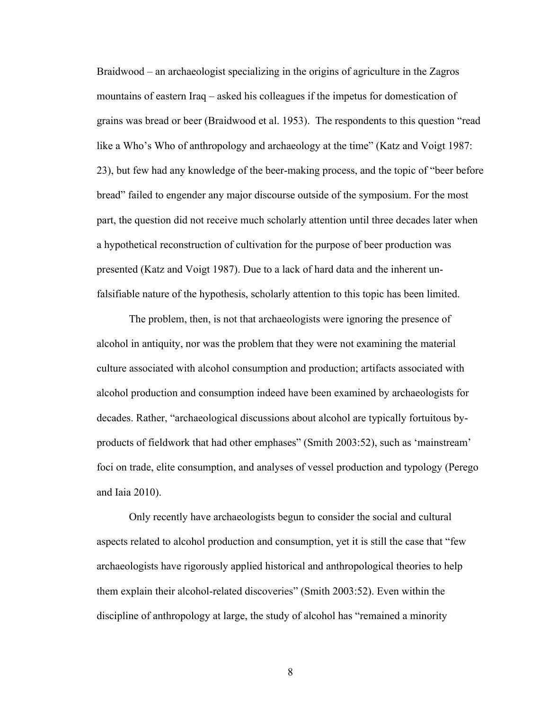Braidwood – an archaeologist specializing in the origins of agriculture in the Zagros mountains of eastern Iraq – asked his colleagues if the impetus for domestication of grains was bread or beer (Braidwood et al. 1953). The respondents to this question "read like a Who's Who of anthropology and archaeology at the time" (Katz and Voigt 1987: 23), but few had any knowledge of the beer-making process, and the topic of "beer before bread" failed to engender any major discourse outside of the symposium. For the most part, the question did not receive much scholarly attention until three decades later when a hypothetical reconstruction of cultivation for the purpose of beer production was presented (Katz and Voigt 1987). Due to a lack of hard data and the inherent unfalsifiable nature of the hypothesis, scholarly attention to this topic has been limited.

The problem, then, is not that archaeologists were ignoring the presence of alcohol in antiquity, nor was the problem that they were not examining the material culture associated with alcohol consumption and production; artifacts associated with alcohol production and consumption indeed have been examined by archaeologists for decades. Rather, "archaeological discussions about alcohol are typically fortuitous byproducts of fieldwork that had other emphases" (Smith 2003:52), such as 'mainstream' foci on trade, elite consumption, and analyses of vessel production and typology (Perego and Iaia 2010).

Only recently have archaeologists begun to consider the social and cultural aspects related to alcohol production and consumption, yet it is still the case that "few archaeologists have rigorously applied historical and anthropological theories to help them explain their alcohol-related discoveries" (Smith 2003:52). Even within the discipline of anthropology at large, the study of alcohol has "remained a minority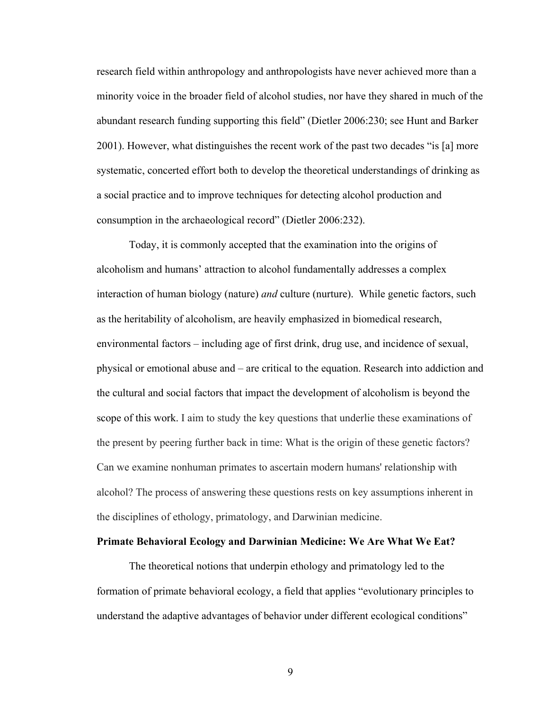research field within anthropology and anthropologists have never achieved more than a minority voice in the broader field of alcohol studies, nor have they shared in much of the abundant research funding supporting this field" (Dietler 2006:230; see Hunt and Barker 2001). However, what distinguishes the recent work of the past two decades "is [a] more systematic, concerted effort both to develop the theoretical understandings of drinking as a social practice and to improve techniques for detecting alcohol production and consumption in the archaeological record" (Dietler 2006:232).

Today, it is commonly accepted that the examination into the origins of alcoholism and humans' attraction to alcohol fundamentally addresses a complex interaction of human biology (nature) *and* culture (nurture). While genetic factors, such as the heritability of alcoholism, are heavily emphasized in biomedical research, environmental factors – including age of first drink, drug use, and incidence of sexual, physical or emotional abuse and – are critical to the equation. Research into addiction and the cultural and social factors that impact the development of alcoholism is beyond the scope of this work. I aim to study the key questions that underlie these examinations of the present by peering further back in time: What is the origin of these genetic factors? Can we examine nonhuman primates to ascertain modern humans' relationship with alcohol? The process of answering these questions rests on key assumptions inherent in the disciplines of ethology, primatology, and Darwinian medicine.

#### **Primate Behavioral Ecology and Darwinian Medicine: We Are What We Eat?**

The theoretical notions that underpin ethology and primatology led to the formation of primate behavioral ecology, a field that applies "evolutionary principles to understand the adaptive advantages of behavior under different ecological conditions"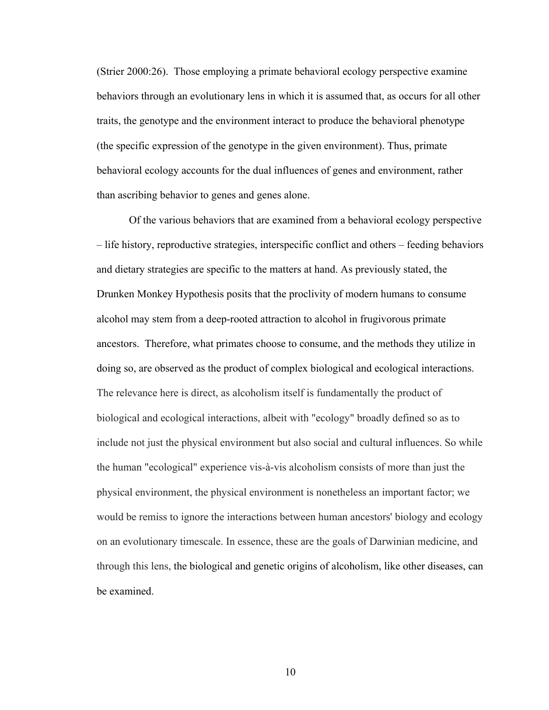(Strier 2000:26). Those employing a primate behavioral ecology perspective examine behaviors through an evolutionary lens in which it is assumed that, as occurs for all other traits, the genotype and the environment interact to produce the behavioral phenotype (the specific expression of the genotype in the given environment). Thus, primate behavioral ecology accounts for the dual influences of genes and environment, rather than ascribing behavior to genes and genes alone.

Of the various behaviors that are examined from a behavioral ecology perspective – life history, reproductive strategies, interspecific conflict and others – feeding behaviors and dietary strategies are specific to the matters at hand. As previously stated, the Drunken Monkey Hypothesis posits that the proclivity of modern humans to consume alcohol may stem from a deep-rooted attraction to alcohol in frugivorous primate ancestors. Therefore, what primates choose to consume, and the methods they utilize in doing so, are observed as the product of complex biological and ecological interactions. The relevance here is direct, as alcoholism itself is fundamentally the product of biological and ecological interactions, albeit with "ecology" broadly defined so as to include not just the physical environment but also social and cultural influences. So while the human "ecological" experience vis-à-vis alcoholism consists of more than just the physical environment, the physical environment is nonetheless an important factor; we would be remiss to ignore the interactions between human ancestors' biology and ecology on an evolutionary timescale. In essence, these are the goals of Darwinian medicine, and through this lens, the biological and genetic origins of alcoholism, like other diseases, can be examined.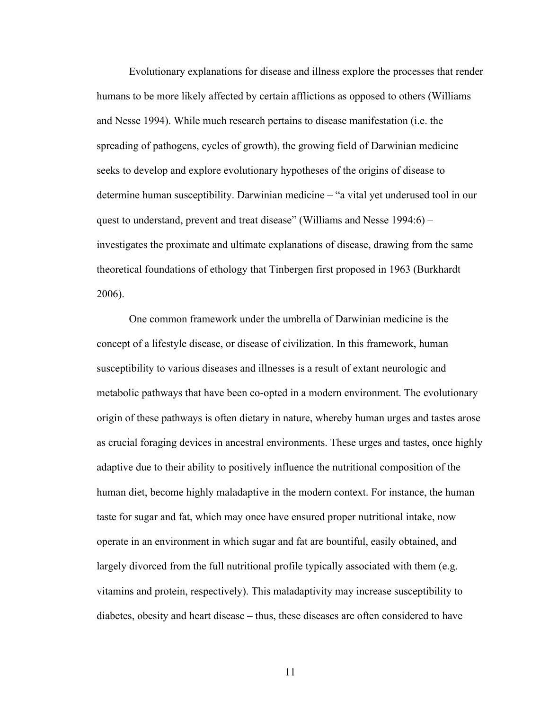Evolutionary explanations for disease and illness explore the processes that render humans to be more likely affected by certain afflictions as opposed to others (Williams and Nesse 1994). While much research pertains to disease manifestation (i.e. the spreading of pathogens, cycles of growth), the growing field of Darwinian medicine seeks to develop and explore evolutionary hypotheses of the origins of disease to determine human susceptibility. Darwinian medicine – "a vital yet underused tool in our quest to understand, prevent and treat disease" (Williams and Nesse 1994:6) – investigates the proximate and ultimate explanations of disease, drawing from the same theoretical foundations of ethology that Tinbergen first proposed in 1963 (Burkhardt 2006).

One common framework under the umbrella of Darwinian medicine is the concept of a lifestyle disease, or disease of civilization. In this framework, human susceptibility to various diseases and illnesses is a result of extant neurologic and metabolic pathways that have been co-opted in a modern environment. The evolutionary origin of these pathways is often dietary in nature, whereby human urges and tastes arose as crucial foraging devices in ancestral environments. These urges and tastes, once highly adaptive due to their ability to positively influence the nutritional composition of the human diet, become highly maladaptive in the modern context. For instance, the human taste for sugar and fat, which may once have ensured proper nutritional intake, now operate in an environment in which sugar and fat are bountiful, easily obtained, and largely divorced from the full nutritional profile typically associated with them (e.g. vitamins and protein, respectively). This maladaptivity may increase susceptibility to diabetes, obesity and heart disease – thus, these diseases are often considered to have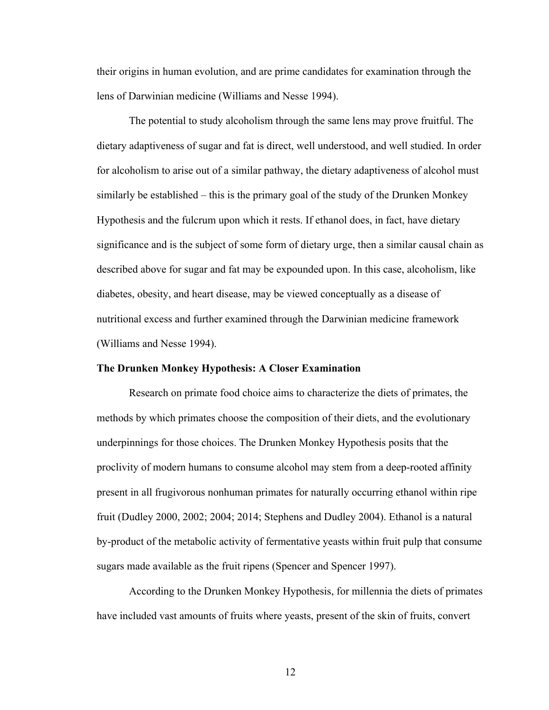their origins in human evolution, and are prime candidates for examination through the lens of Darwinian medicine (Williams and Nesse 1994).

The potential to study alcoholism through the same lens may prove fruitful. The dietary adaptiveness of sugar and fat is direct, well understood, and well studied. In order for alcoholism to arise out of a similar pathway, the dietary adaptiveness of alcohol must similarly be established – this is the primary goal of the study of the Drunken Monkey Hypothesis and the fulcrum upon which it rests. If ethanol does, in fact, have dietary significance and is the subject of some form of dietary urge, then a similar causal chain as described above for sugar and fat may be expounded upon. In this case, alcoholism, like diabetes, obesity, and heart disease, may be viewed conceptually as a disease of nutritional excess and further examined through the Darwinian medicine framework (Williams and Nesse 1994).

#### **The Drunken Monkey Hypothesis: A Closer Examination**

Research on primate food choice aims to characterize the diets of primates, the methods by which primates choose the composition of their diets, and the evolutionary underpinnings for those choices. The Drunken Monkey Hypothesis posits that the proclivity of modern humans to consume alcohol may stem from a deep-rooted affinity present in all frugivorous nonhuman primates for naturally occurring ethanol within ripe fruit (Dudley 2000, 2002; 2004; 2014; Stephens and Dudley 2004). Ethanol is a natural by-product of the metabolic activity of fermentative yeasts within fruit pulp that consume sugars made available as the fruit ripens (Spencer and Spencer 1997).

According to the Drunken Monkey Hypothesis, for millennia the diets of primates have included vast amounts of fruits where yeasts, present of the skin of fruits, convert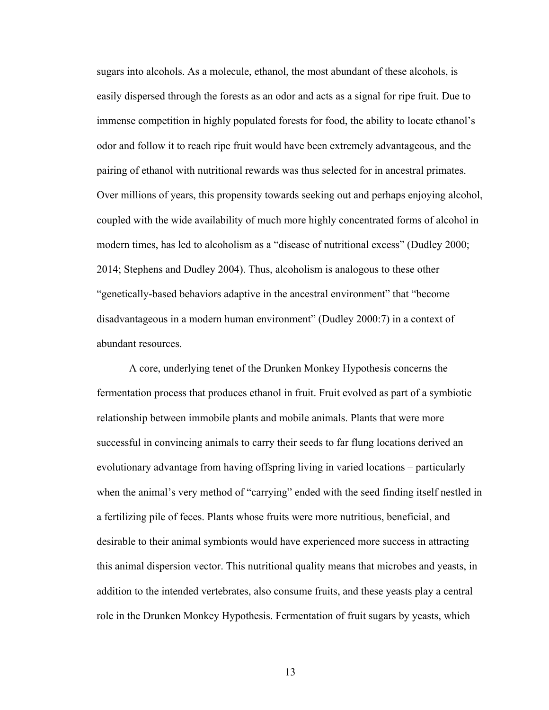sugars into alcohols. As a molecule, ethanol, the most abundant of these alcohols, is easily dispersed through the forests as an odor and acts as a signal for ripe fruit. Due to immense competition in highly populated forests for food, the ability to locate ethanol's odor and follow it to reach ripe fruit would have been extremely advantageous, and the pairing of ethanol with nutritional rewards was thus selected for in ancestral primates. Over millions of years, this propensity towards seeking out and perhaps enjoying alcohol, coupled with the wide availability of much more highly concentrated forms of alcohol in modern times, has led to alcoholism as a "disease of nutritional excess" (Dudley 2000; 2014; Stephens and Dudley 2004). Thus, alcoholism is analogous to these other "genetically-based behaviors adaptive in the ancestral environment" that "become disadvantageous in a modern human environment" (Dudley 2000:7) in a context of abundant resources.

A core, underlying tenet of the Drunken Monkey Hypothesis concerns the fermentation process that produces ethanol in fruit. Fruit evolved as part of a symbiotic relationship between immobile plants and mobile animals. Plants that were more successful in convincing animals to carry their seeds to far flung locations derived an evolutionary advantage from having offspring living in varied locations – particularly when the animal's very method of "carrying" ended with the seed finding itself nestled in a fertilizing pile of feces. Plants whose fruits were more nutritious, beneficial, and desirable to their animal symbionts would have experienced more success in attracting this animal dispersion vector. This nutritional quality means that microbes and yeasts, in addition to the intended vertebrates, also consume fruits, and these yeasts play a central role in the Drunken Monkey Hypothesis. Fermentation of fruit sugars by yeasts, which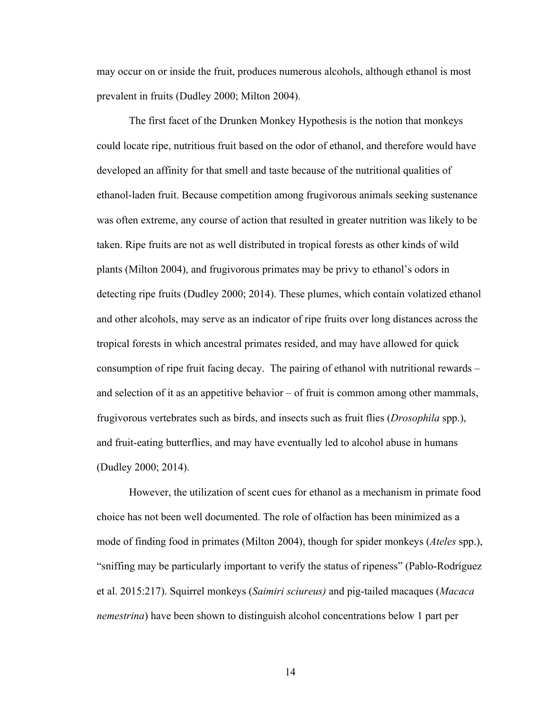may occur on or inside the fruit, produces numerous alcohols, although ethanol is most prevalent in fruits (Dudley 2000; Milton 2004).

The first facet of the Drunken Monkey Hypothesis is the notion that monkeys could locate ripe, nutritious fruit based on the odor of ethanol, and therefore would have developed an affinity for that smell and taste because of the nutritional qualities of ethanol-laden fruit. Because competition among frugivorous animals seeking sustenance was often extreme, any course of action that resulted in greater nutrition was likely to be taken. Ripe fruits are not as well distributed in tropical forests as other kinds of wild plants (Milton 2004), and frugivorous primates may be privy to ethanol's odors in detecting ripe fruits (Dudley 2000; 2014). These plumes, which contain volatized ethanol and other alcohols, may serve as an indicator of ripe fruits over long distances across the tropical forests in which ancestral primates resided, and may have allowed for quick consumption of ripe fruit facing decay. The pairing of ethanol with nutritional rewards – and selection of it as an appetitive behavior – of fruit is common among other mammals, frugivorous vertebrates such as birds, and insects such as fruit flies (*Drosophila* spp.), and fruit-eating butterflies, and may have eventually led to alcohol abuse in humans (Dudley 2000; 2014).

However, the utilization of scent cues for ethanol as a mechanism in primate food choice has not been well documented. The role of olfaction has been minimized as a mode of finding food in primates (Milton 2004), though for spider monkeys (*Ateles* spp.), "sniffing may be particularly important to verify the status of ripeness" (Pablo-Rodríguez et al. 2015:217). Squirrel monkeys (*Saimiri sciureus)* and pig-tailed macaques (*Macaca nemestrina*) have been shown to distinguish alcohol concentrations below 1 part per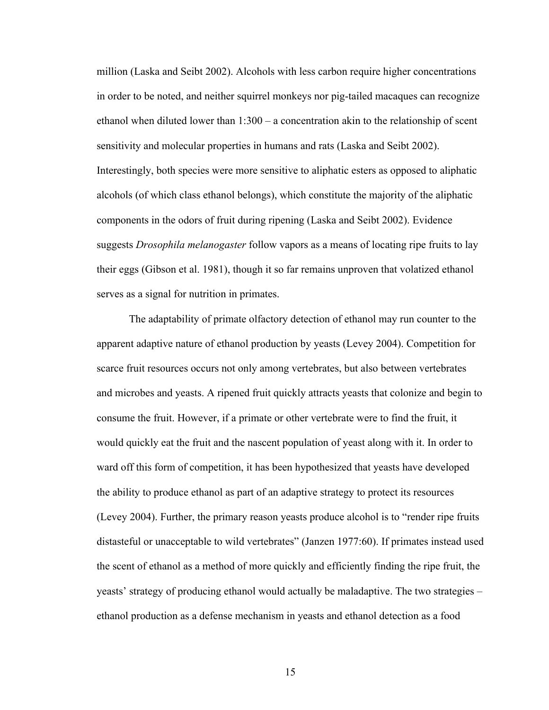million (Laska and Seibt 2002). Alcohols with less carbon require higher concentrations in order to be noted, and neither squirrel monkeys nor pig-tailed macaques can recognize ethanol when diluted lower than  $1:300 - a$  concentration akin to the relationship of scent sensitivity and molecular properties in humans and rats (Laska and Seibt 2002). Interestingly, both species were more sensitive to aliphatic esters as opposed to aliphatic alcohols (of which class ethanol belongs), which constitute the majority of the aliphatic components in the odors of fruit during ripening (Laska and Seibt 2002). Evidence suggests *Drosophila melanogaster* follow vapors as a means of locating ripe fruits to lay their eggs (Gibson et al. 1981), though it so far remains unproven that volatized ethanol serves as a signal for nutrition in primates.

The adaptability of primate olfactory detection of ethanol may run counter to the apparent adaptive nature of ethanol production by yeasts (Levey 2004). Competition for scarce fruit resources occurs not only among vertebrates, but also between vertebrates and microbes and yeasts. A ripened fruit quickly attracts yeasts that colonize and begin to consume the fruit. However, if a primate or other vertebrate were to find the fruit, it would quickly eat the fruit and the nascent population of yeast along with it. In order to ward off this form of competition, it has been hypothesized that yeasts have developed the ability to produce ethanol as part of an adaptive strategy to protect its resources (Levey 2004). Further, the primary reason yeasts produce alcohol is to "render ripe fruits distasteful or unacceptable to wild vertebrates" (Janzen 1977:60). If primates instead used the scent of ethanol as a method of more quickly and efficiently finding the ripe fruit, the yeasts' strategy of producing ethanol would actually be maladaptive. The two strategies – ethanol production as a defense mechanism in yeasts and ethanol detection as a food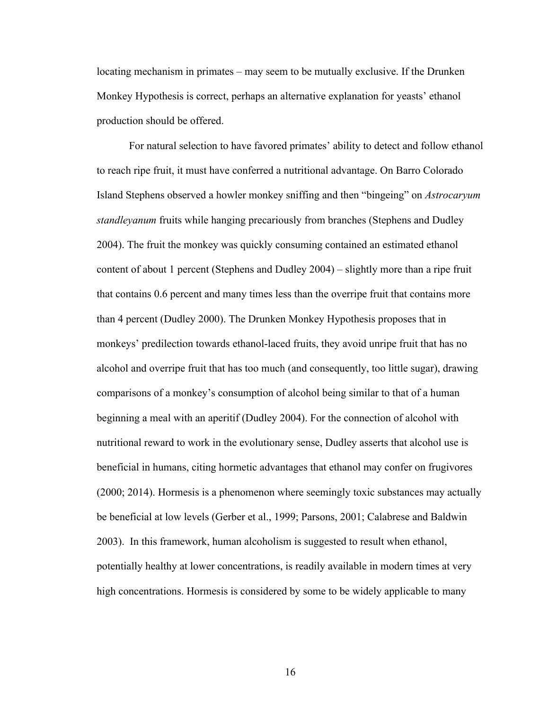locating mechanism in primates – may seem to be mutually exclusive. If the Drunken Monkey Hypothesis is correct, perhaps an alternative explanation for yeasts' ethanol production should be offered.

For natural selection to have favored primates' ability to detect and follow ethanol to reach ripe fruit, it must have conferred a nutritional advantage. On Barro Colorado Island Stephens observed a howler monkey sniffing and then "bingeing" on *Astrocaryum standleyanum* fruits while hanging precariously from branches (Stephens and Dudley 2004). The fruit the monkey was quickly consuming contained an estimated ethanol content of about 1 percent (Stephens and Dudley 2004) – slightly more than a ripe fruit that contains 0.6 percent and many times less than the overripe fruit that contains more than 4 percent (Dudley 2000). The Drunken Monkey Hypothesis proposes that in monkeys' predilection towards ethanol-laced fruits, they avoid unripe fruit that has no alcohol and overripe fruit that has too much (and consequently, too little sugar), drawing comparisons of a monkey's consumption of alcohol being similar to that of a human beginning a meal with an aperitif (Dudley 2004). For the connection of alcohol with nutritional reward to work in the evolutionary sense, Dudley asserts that alcohol use is beneficial in humans, citing hormetic advantages that ethanol may confer on frugivores (2000; 2014). Hormesis is a phenomenon where seemingly toxic substances may actually be beneficial at low levels (Gerber et al., 1999; Parsons, 2001; Calabrese and Baldwin 2003). In this framework, human alcoholism is suggested to result when ethanol, potentially healthy at lower concentrations, is readily available in modern times at very high concentrations. Hormesis is considered by some to be widely applicable to many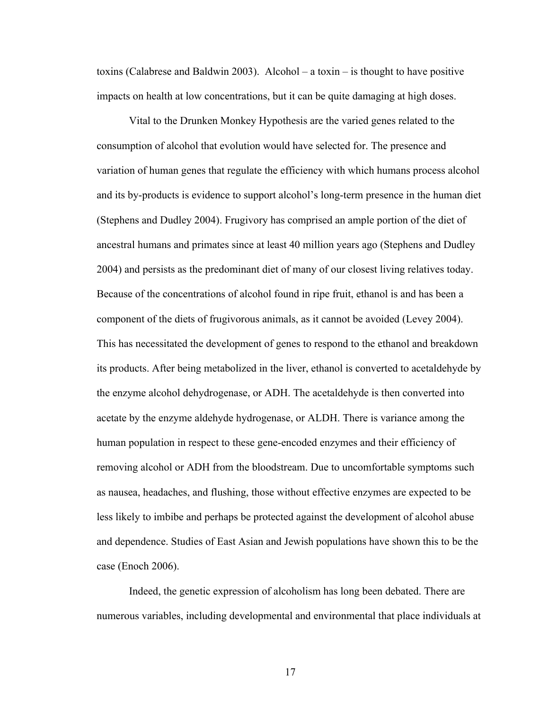toxins (Calabrese and Baldwin 2003). Alcohol – a toxin – is thought to have positive impacts on health at low concentrations, but it can be quite damaging at high doses.

Vital to the Drunken Monkey Hypothesis are the varied genes related to the consumption of alcohol that evolution would have selected for. The presence and variation of human genes that regulate the efficiency with which humans process alcohol and its by-products is evidence to support alcohol's long-term presence in the human diet (Stephens and Dudley 2004). Frugivory has comprised an ample portion of the diet of ancestral humans and primates since at least 40 million years ago (Stephens and Dudley 2004) and persists as the predominant diet of many of our closest living relatives today. Because of the concentrations of alcohol found in ripe fruit, ethanol is and has been a component of the diets of frugivorous animals, as it cannot be avoided (Levey 2004). This has necessitated the development of genes to respond to the ethanol and breakdown its products. After being metabolized in the liver, ethanol is converted to acetaldehyde by the enzyme alcohol dehydrogenase, or ADH. The acetaldehyde is then converted into acetate by the enzyme aldehyde hydrogenase, or ALDH. There is variance among the human population in respect to these gene-encoded enzymes and their efficiency of removing alcohol or ADH from the bloodstream. Due to uncomfortable symptoms such as nausea, headaches, and flushing, those without effective enzymes are expected to be less likely to imbibe and perhaps be protected against the development of alcohol abuse and dependence. Studies of East Asian and Jewish populations have shown this to be the case (Enoch 2006).

Indeed, the genetic expression of alcoholism has long been debated. There are numerous variables, including developmental and environmental that place individuals at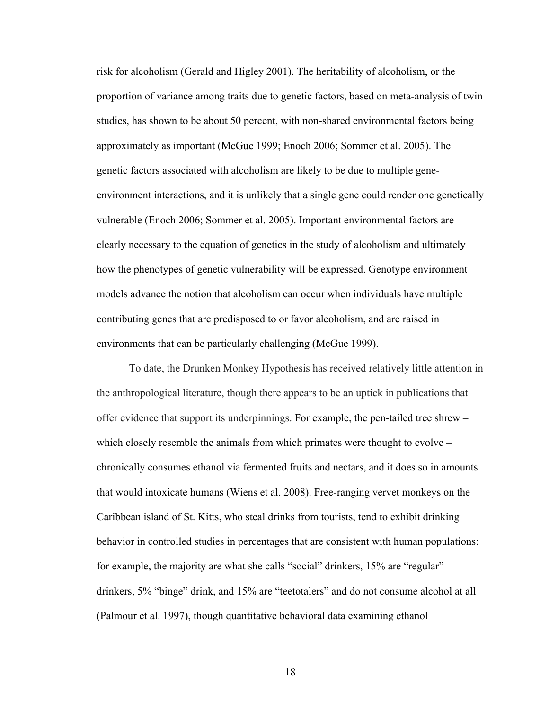risk for alcoholism (Gerald and Higley 2001). The heritability of alcoholism, or the proportion of variance among traits due to genetic factors, based on meta-analysis of twin studies, has shown to be about 50 percent, with non-shared environmental factors being approximately as important (McGue 1999; Enoch 2006; Sommer et al. 2005). The genetic factors associated with alcoholism are likely to be due to multiple geneenvironment interactions, and it is unlikely that a single gene could render one genetically vulnerable (Enoch 2006; Sommer et al. 2005). Important environmental factors are clearly necessary to the equation of genetics in the study of alcoholism and ultimately how the phenotypes of genetic vulnerability will be expressed. Genotype environment models advance the notion that alcoholism can occur when individuals have multiple contributing genes that are predisposed to or favor alcoholism, and are raised in environments that can be particularly challenging (McGue 1999).

To date, the Drunken Monkey Hypothesis has received relatively little attention in the anthropological literature, though there appears to be an uptick in publications that offer evidence that support its underpinnings. For example, the pen-tailed tree shrew – which closely resemble the animals from which primates were thought to evolve – chronically consumes ethanol via fermented fruits and nectars, and it does so in amounts that would intoxicate humans (Wiens et al. 2008). Free-ranging vervet monkeys on the Caribbean island of St. Kitts, who steal drinks from tourists, tend to exhibit drinking behavior in controlled studies in percentages that are consistent with human populations: for example, the majority are what she calls "social" drinkers, 15% are "regular" drinkers, 5% "binge" drink, and 15% are "teetotalers" and do not consume alcohol at all (Palmour et al. 1997), though quantitative behavioral data examining ethanol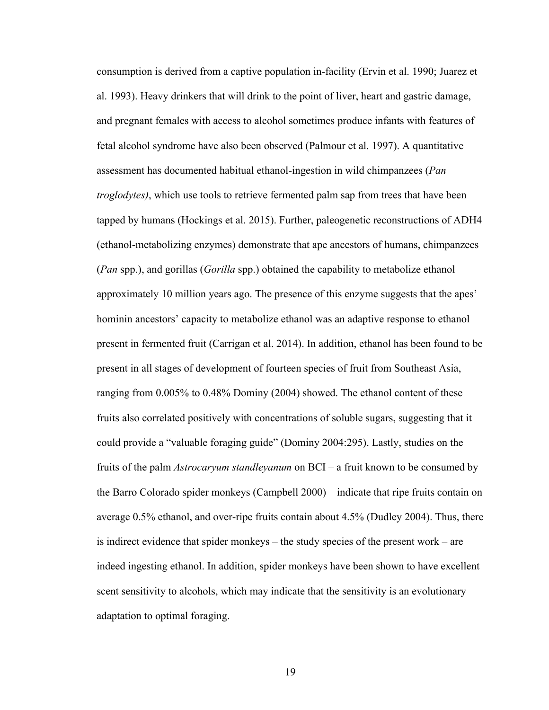consumption is derived from a captive population in-facility (Ervin et al. 1990; Juarez et al. 1993). Heavy drinkers that will drink to the point of liver, heart and gastric damage, and pregnant females with access to alcohol sometimes produce infants with features of fetal alcohol syndrome have also been observed (Palmour et al. 1997). A quantitative assessment has documented habitual ethanol-ingestion in wild chimpanzees (*Pan troglodytes)*, which use tools to retrieve fermented palm sap from trees that have been tapped by humans (Hockings et al. 2015). Further, paleogenetic reconstructions of ADH4 (ethanol-metabolizing enzymes) demonstrate that ape ancestors of humans, chimpanzees (*Pan* spp.), and gorillas (*Gorilla* spp.) obtained the capability to metabolize ethanol approximately 10 million years ago. The presence of this enzyme suggests that the apes' hominin ancestors' capacity to metabolize ethanol was an adaptive response to ethanol present in fermented fruit (Carrigan et al. 2014). In addition, ethanol has been found to be present in all stages of development of fourteen species of fruit from Southeast Asia, ranging from 0.005% to 0.48% Dominy (2004) showed. The ethanol content of these fruits also correlated positively with concentrations of soluble sugars, suggesting that it could provide a "valuable foraging guide" (Dominy 2004:295). Lastly, studies on the fruits of the palm *Astrocaryum standleyanum* on BCI – a fruit known to be consumed by the Barro Colorado spider monkeys (Campbell 2000) – indicate that ripe fruits contain on average 0.5% ethanol, and over-ripe fruits contain about 4.5% (Dudley 2004). Thus, there is indirect evidence that spider monkeys – the study species of the present work – are indeed ingesting ethanol. In addition, spider monkeys have been shown to have excellent scent sensitivity to alcohols, which may indicate that the sensitivity is an evolutionary adaptation to optimal foraging.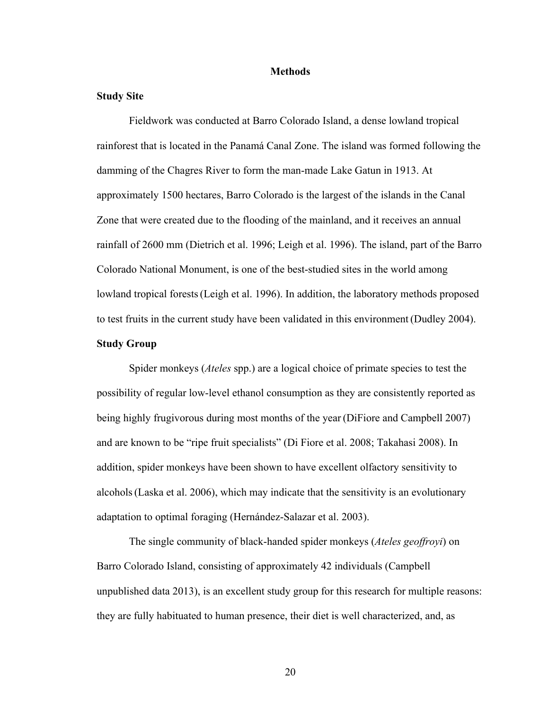#### **Methods**

#### **Study Site**

Fieldwork was conducted at Barro Colorado Island, a dense lowland tropical rainforest that is located in the Panamá Canal Zone. The island was formed following the damming of the Chagres River to form the man-made Lake Gatun in 1913. At approximately 1500 hectares, Barro Colorado is the largest of the islands in the Canal Zone that were created due to the flooding of the mainland, and it receives an annual rainfall of 2600 mm (Dietrich et al. 1996; Leigh et al. 1996). The island, part of the Barro Colorado National Monument, is one of the best-studied sites in the world among lowland tropical forests(Leigh et al. 1996). In addition, the laboratory methods proposed to test fruits in the current study have been validated in this environment (Dudley 2004).

#### **Study Group**

Spider monkeys (*Ateles* spp.) are a logical choice of primate species to test the possibility of regular low-level ethanol consumption as they are consistently reported as being highly frugivorous during most months of the year (DiFiore and Campbell 2007) and are known to be "ripe fruit specialists" (Di Fiore et al. 2008; Takahasi 2008). In addition, spider monkeys have been shown to have excellent olfactory sensitivity to alcohols(Laska et al. 2006), which may indicate that the sensitivity is an evolutionary adaptation to optimal foraging (Hernández-Salazar et al. 2003).

The single community of black-handed spider monkeys (*Ateles geoffroyi*) on Barro Colorado Island, consisting of approximately 42 individuals (Campbell unpublished data 2013), is an excellent study group for this research for multiple reasons: they are fully habituated to human presence, their diet is well characterized, and, as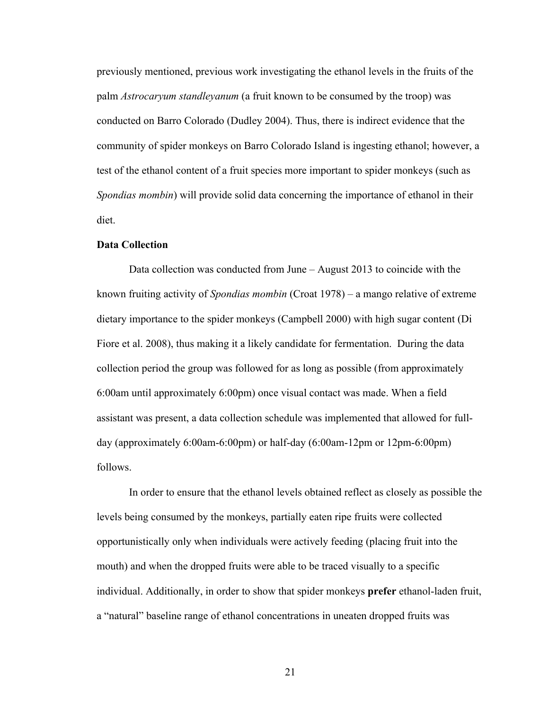previously mentioned, previous work investigating the ethanol levels in the fruits of the palm *Astrocaryum standleyanum* (a fruit known to be consumed by the troop) was conducted on Barro Colorado (Dudley 2004). Thus, there is indirect evidence that the community of spider monkeys on Barro Colorado Island is ingesting ethanol; however, a test of the ethanol content of a fruit species more important to spider monkeys (such as *Spondias mombin*) will provide solid data concerning the importance of ethanol in their diet.

#### **Data Collection**

Data collection was conducted from June – August 2013 to coincide with the known fruiting activity of *Spondias mombin* (Croat 1978) – a mango relative of extreme dietary importance to the spider monkeys (Campbell 2000) with high sugar content (Di Fiore et al. 2008), thus making it a likely candidate for fermentation. During the data collection period the group was followed for as long as possible (from approximately 6:00am until approximately 6:00pm) once visual contact was made. When a field assistant was present, a data collection schedule was implemented that allowed for fullday (approximately 6:00am-6:00pm) or half-day (6:00am-12pm or 12pm-6:00pm) follows.

In order to ensure that the ethanol levels obtained reflect as closely as possible the levels being consumed by the monkeys, partially eaten ripe fruits were collected opportunistically only when individuals were actively feeding (placing fruit into the mouth) and when the dropped fruits were able to be traced visually to a specific individual. Additionally, in order to show that spider monkeys **prefer** ethanol-laden fruit, a "natural" baseline range of ethanol concentrations in uneaten dropped fruits was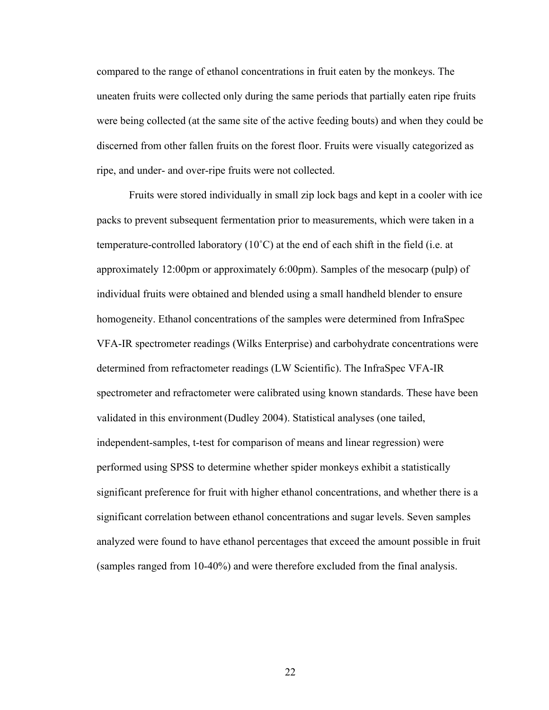compared to the range of ethanol concentrations in fruit eaten by the monkeys. The uneaten fruits were collected only during the same periods that partially eaten ripe fruits were being collected (at the same site of the active feeding bouts) and when they could be discerned from other fallen fruits on the forest floor. Fruits were visually categorized as ripe, and under- and over-ripe fruits were not collected.

Fruits were stored individually in small zip lock bags and kept in a cooler with ice packs to prevent subsequent fermentation prior to measurements, which were taken in a temperature-controlled laboratory (10˚C) at the end of each shift in the field (i.e. at approximately 12:00pm or approximately 6:00pm). Samples of the mesocarp (pulp) of individual fruits were obtained and blended using a small handheld blender to ensure homogeneity. Ethanol concentrations of the samples were determined from InfraSpec VFA-IR spectrometer readings (Wilks Enterprise) and carbohydrate concentrations were determined from refractometer readings (LW Scientific). The InfraSpec VFA-IR spectrometer and refractometer were calibrated using known standards. These have been validated in this environment (Dudley 2004). Statistical analyses (one tailed, independent-samples, t-test for comparison of means and linear regression) were performed using SPSS to determine whether spider monkeys exhibit a statistically significant preference for fruit with higher ethanol concentrations, and whether there is a significant correlation between ethanol concentrations and sugar levels. Seven samples analyzed were found to have ethanol percentages that exceed the amount possible in fruit (samples ranged from 10-40%) and were therefore excluded from the final analysis.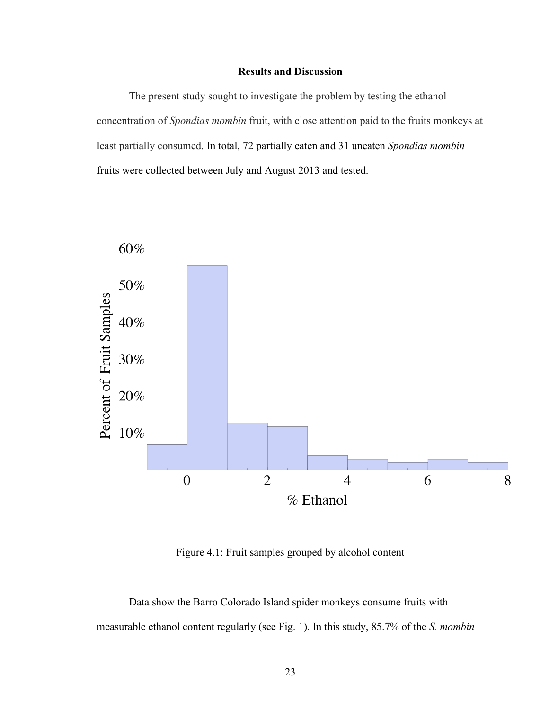#### **Results and Discussion**

The present study sought to investigate the problem by testing the ethanol concentration of *Spondias mombin* fruit, with close attention paid to the fruits monkeys at least partially consumed. In total, 72 partially eaten and 31 uneaten *Spondias mombin* fruits were collected between July and August 2013 and tested.



Figure 4.1: Fruit samples grouped by alcohol content

Data show the Barro Colorado Island spider monkeys consume fruits with measurable ethanol content regularly (see Fig. 1). In this study, 85.7% of the *S. mombin*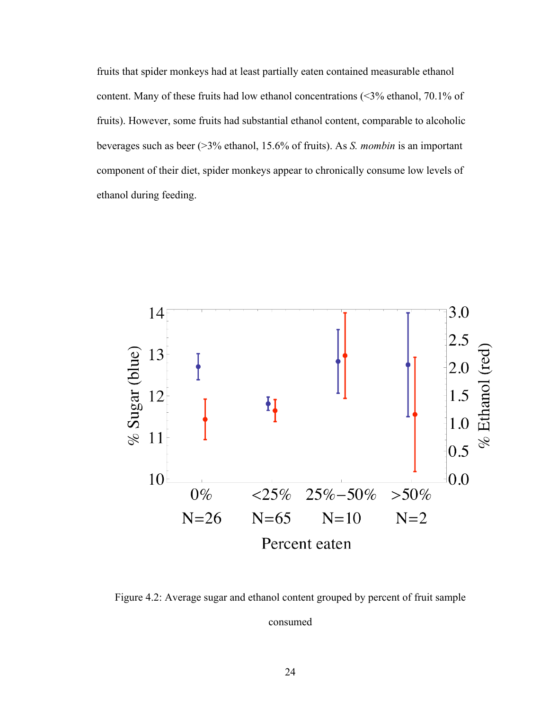fruits that spider monkeys had at least partially eaten contained measurable ethanol content. Many of these fruits had low ethanol concentrations (<3% ethanol, 70.1% of fruits). However, some fruits had substantial ethanol content, comparable to alcoholic beverages such as beer (>3% ethanol, 15.6% of fruits). As *S. mombin* is an important component of their diet, spider monkeys appear to chronically consume low levels of ethanol during feeding.



Figure 4.2: Average sugar and ethanol content grouped by percent of fruit sample consumed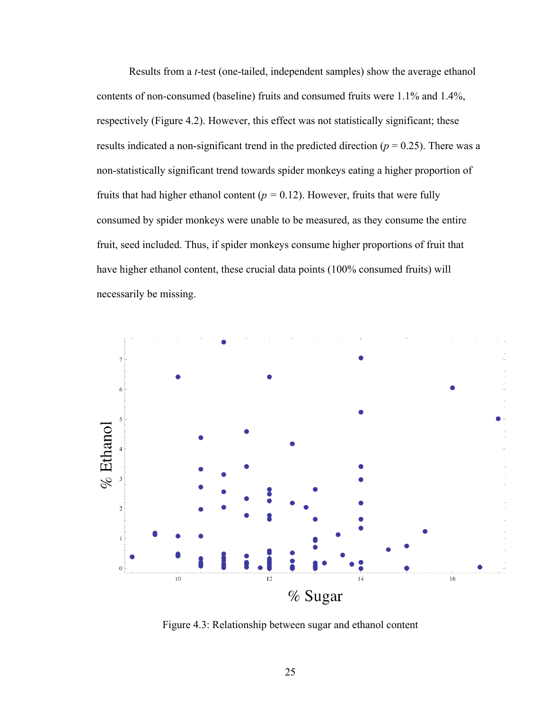Results from a *t*-test (one-tailed, independent samples) show the average ethanol contents of non-consumed (baseline) fruits and consumed fruits were 1.1% and 1.4%, respectively (Figure 4.2). However, this effect was not statistically significant; these results indicated a non-significant trend in the predicted direction ( $p = 0.25$ ). There was a non-statistically significant trend towards spider monkeys eating a higher proportion of fruits that had higher ethanol content ( $p = 0.12$ ). However, fruits that were fully consumed by spider monkeys were unable to be measured, as they consume the entire fruit, seed included. Thus, if spider monkeys consume higher proportions of fruit that have higher ethanol content, these crucial data points (100% consumed fruits) will necessarily be missing.



Figure 4.3: Relationship between sugar and ethanol content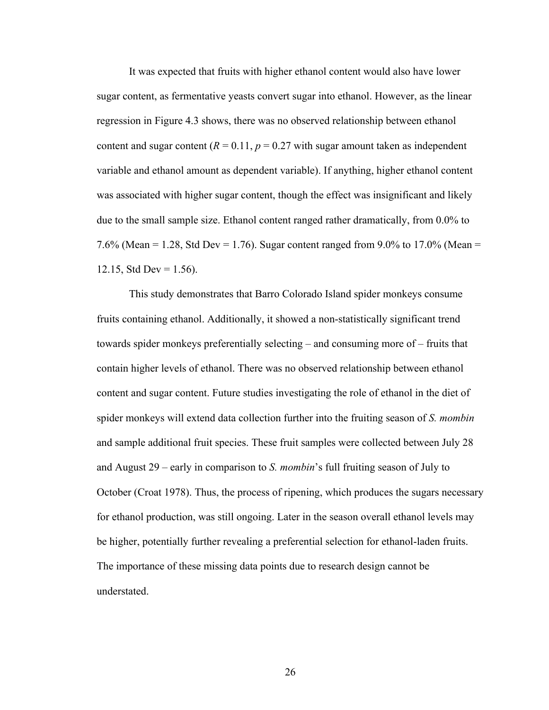It was expected that fruits with higher ethanol content would also have lower sugar content, as fermentative yeasts convert sugar into ethanol. However, as the linear regression in Figure 4.3 shows, there was no observed relationship between ethanol content and sugar content  $(R = 0.11, p = 0.27$  with sugar amount taken as independent variable and ethanol amount as dependent variable). If anything, higher ethanol content was associated with higher sugar content, though the effect was insignificant and likely due to the small sample size. Ethanol content ranged rather dramatically, from 0.0% to 7.6% (Mean = 1.28, Std Dev = 1.76). Sugar content ranged from 9.0% to 17.0% (Mean = 12.15, Std Dev =  $1.56$ ).

This study demonstrates that Barro Colorado Island spider monkeys consume fruits containing ethanol. Additionally, it showed a non-statistically significant trend towards spider monkeys preferentially selecting – and consuming more of – fruits that contain higher levels of ethanol. There was no observed relationship between ethanol content and sugar content. Future studies investigating the role of ethanol in the diet of spider monkeys will extend data collection further into the fruiting season of *S. mombin*  and sample additional fruit species. These fruit samples were collected between July 28 and August 29 – early in comparison to *S. mombin*'s full fruiting season of July to October (Croat 1978). Thus, the process of ripening, which produces the sugars necessary for ethanol production, was still ongoing. Later in the season overall ethanol levels may be higher, potentially further revealing a preferential selection for ethanol-laden fruits. The importance of these missing data points due to research design cannot be understated.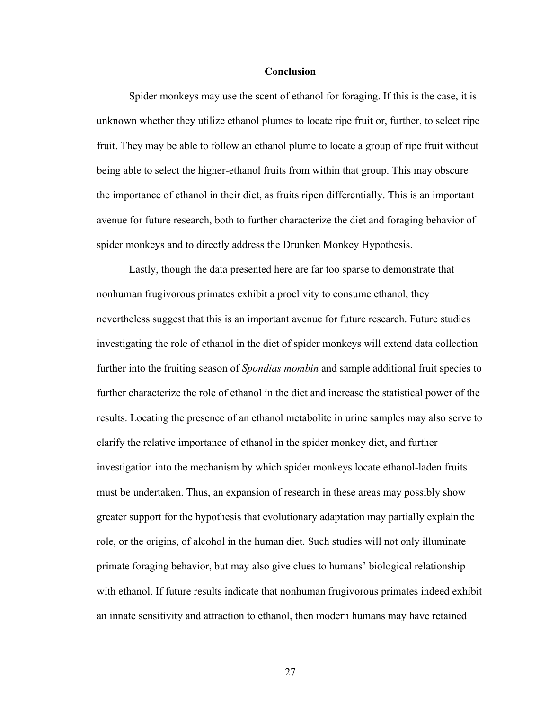#### **Conclusion**

Spider monkeys may use the scent of ethanol for foraging. If this is the case, it is unknown whether they utilize ethanol plumes to locate ripe fruit or, further, to select ripe fruit. They may be able to follow an ethanol plume to locate a group of ripe fruit without being able to select the higher-ethanol fruits from within that group. This may obscure the importance of ethanol in their diet, as fruits ripen differentially. This is an important avenue for future research, both to further characterize the diet and foraging behavior of spider monkeys and to directly address the Drunken Monkey Hypothesis.

Lastly, though the data presented here are far too sparse to demonstrate that nonhuman frugivorous primates exhibit a proclivity to consume ethanol, they nevertheless suggest that this is an important avenue for future research. Future studies investigating the role of ethanol in the diet of spider monkeys will extend data collection further into the fruiting season of *Spondias mombin* and sample additional fruit species to further characterize the role of ethanol in the diet and increase the statistical power of the results. Locating the presence of an ethanol metabolite in urine samples may also serve to clarify the relative importance of ethanol in the spider monkey diet, and further investigation into the mechanism by which spider monkeys locate ethanol-laden fruits must be undertaken. Thus, an expansion of research in these areas may possibly show greater support for the hypothesis that evolutionary adaptation may partially explain the role, or the origins, of alcohol in the human diet. Such studies will not only illuminate primate foraging behavior, but may also give clues to humans' biological relationship with ethanol. If future results indicate that nonhuman frugivorous primates indeed exhibit an innate sensitivity and attraction to ethanol, then modern humans may have retained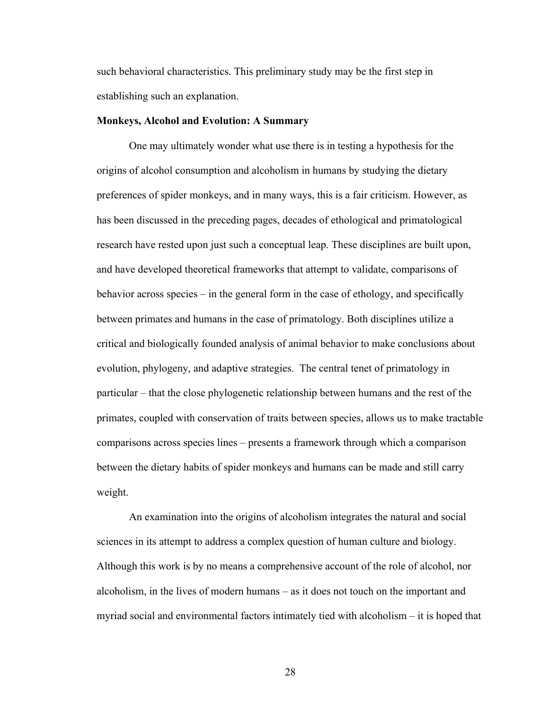such behavioral characteristics. This preliminary study may be the first step in establishing such an explanation.

#### **Monkeys, Alcohol and Evolution: A Summary**

One may ultimately wonder what use there is in testing a hypothesis for the origins of alcohol consumption and alcoholism in humans by studying the dietary preferences of spider monkeys, and in many ways, this is a fair criticism. However, as has been discussed in the preceding pages, decades of ethological and primatological research have rested upon just such a conceptual leap. These disciplines are built upon, and have developed theoretical frameworks that attempt to validate, comparisons of behavior across species – in the general form in the case of ethology, and specifically between primates and humans in the case of primatology. Both disciplines utilize a critical and biologically founded analysis of animal behavior to make conclusions about evolution, phylogeny, and adaptive strategies. The central tenet of primatology in particular – that the close phylogenetic relationship between humans and the rest of the primates, coupled with conservation of traits between species, allows us to make tractable comparisons across species lines – presents a framework through which a comparison between the dietary habits of spider monkeys and humans can be made and still carry weight.

An examination into the origins of alcoholism integrates the natural and social sciences in its attempt to address a complex question of human culture and biology. Although this work is by no means a comprehensive account of the role of alcohol, nor alcoholism, in the lives of modern humans – as it does not touch on the important and myriad social and environmental factors intimately tied with alcoholism – it is hoped that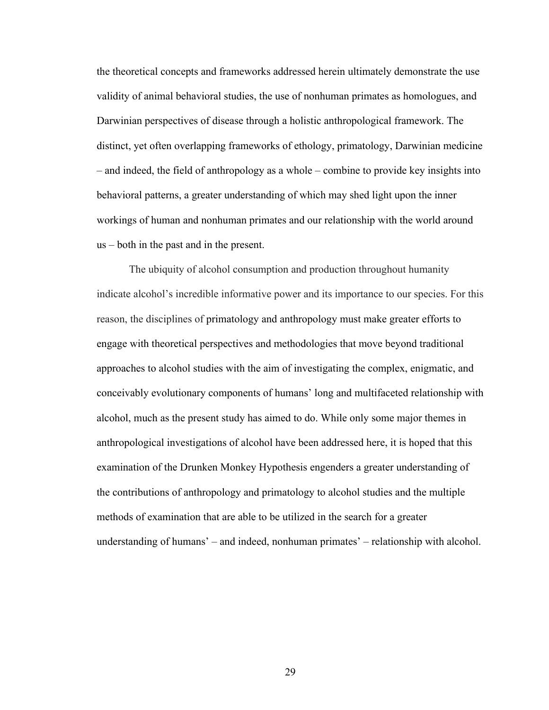the theoretical concepts and frameworks addressed herein ultimately demonstrate the use validity of animal behavioral studies, the use of nonhuman primates as homologues, and Darwinian perspectives of disease through a holistic anthropological framework. The distinct, yet often overlapping frameworks of ethology, primatology, Darwinian medicine – and indeed, the field of anthropology as a whole – combine to provide key insights into behavioral patterns, a greater understanding of which may shed light upon the inner workings of human and nonhuman primates and our relationship with the world around us – both in the past and in the present.

The ubiquity of alcohol consumption and production throughout humanity indicate alcohol's incredible informative power and its importance to our species. For this reason, the disciplines of primatology and anthropology must make greater efforts to engage with theoretical perspectives and methodologies that move beyond traditional approaches to alcohol studies with the aim of investigating the complex, enigmatic, and conceivably evolutionary components of humans' long and multifaceted relationship with alcohol, much as the present study has aimed to do. While only some major themes in anthropological investigations of alcohol have been addressed here, it is hoped that this examination of the Drunken Monkey Hypothesis engenders a greater understanding of the contributions of anthropology and primatology to alcohol studies and the multiple methods of examination that are able to be utilized in the search for a greater understanding of humans' – and indeed, nonhuman primates' – relationship with alcohol.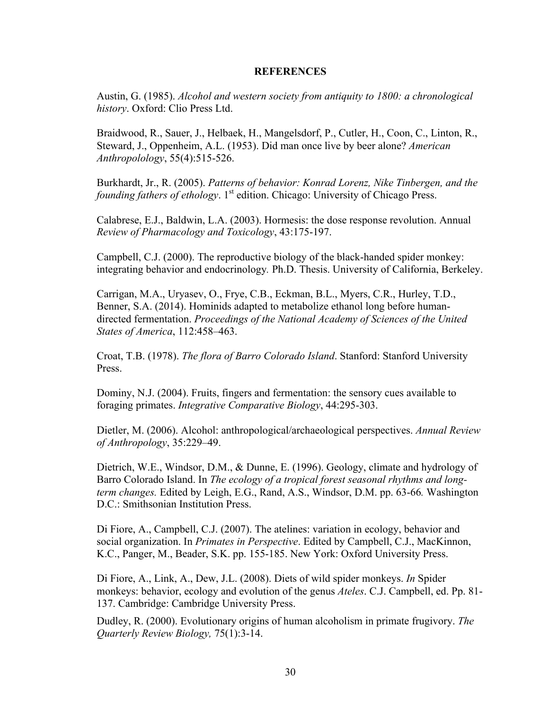#### **REFERENCES**

Austin, G. (1985). *Alcohol and western society from antiquity to 1800: a chronological history*. Oxford: Clio Press Ltd.

Braidwood, R., Sauer, J., Helbaek, H., Mangelsdorf, P., Cutler, H., Coon, C., Linton, R., Steward, J., Oppenheim, A.L. (1953). Did man once live by beer alone? *American Anthropolology*, 55(4):515-526.

Burkhardt, Jr., R. (2005). *Patterns of behavior: Konrad Lorenz, Nike Tinbergen, and the founding fathers of ethology*. 1<sup>st</sup> edition. Chicago: University of Chicago Press.

Calabrese, E.J., Baldwin, L.A. (2003). Hormesis: the dose response revolution. Annual *Review of Pharmacology and Toxicology*, 43:175-197.

Campbell, C.J. (2000). The reproductive biology of the black-handed spider monkey: integrating behavior and endocrinology*.* Ph.D. Thesis. University of California, Berkeley.

Carrigan, M.A., Uryasev, O., Frye, C.B., Eckman, B.L., Myers, C.R., Hurley, T.D., Benner, S.A. (2014). Hominids adapted to metabolize ethanol long before humandirected fermentation. *Proceedings of the National Academy of Sciences of the United States of America*, 112:458–463.

Croat, T.B. (1978). *The flora of Barro Colorado Island*. Stanford: Stanford University Press.

Dominy, N.J. (2004). Fruits, fingers and fermentation: the sensory cues available to foraging primates. *Integrative Comparative Biology*, 44:295-303.

Dietler, M. (2006). Alcohol: anthropological/archaeological perspectives. *Annual Review of Anthropology*, 35:229–49.

Dietrich, W.E., Windsor, D.M., & Dunne, E. (1996). Geology, climate and hydrology of Barro Colorado Island. In *The ecology of a tropical forest seasonal rhythms and longterm changes.* Edited by Leigh, E.G., Rand, A.S., Windsor, D.M. pp. 63-66*.* Washington D.C.: Smithsonian Institution Press.

Di Fiore, A., Campbell, C.J. (2007). The atelines: variation in ecology, behavior and social organization. In *Primates in Perspective*. Edited by Campbell, C.J., MacKinnon, K.C., Panger, M., Beader, S.K. pp. 155-185. New York: Oxford University Press.

Di Fiore, A., Link, A., Dew, J.L. (2008). Diets of wild spider monkeys. *In* Spider monkeys: behavior, ecology and evolution of the genus *Ateles*. C.J. Campbell, ed. Pp. 81- 137. Cambridge: Cambridge University Press.

Dudley, R. (2000). Evolutionary origins of human alcoholism in primate frugivory. *The Quarterly Review Biology,* 75(1):3-14.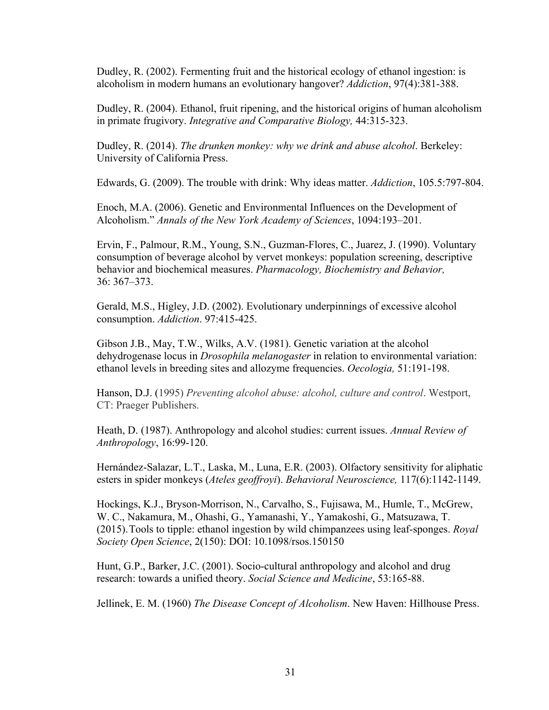Dudley, R. (2002). Fermenting fruit and the historical ecology of ethanol ingestion: is alcoholism in modern humans an evolutionary hangover? *Addiction*, 97(4):381-388.

Dudley, R. (2004). Ethanol, fruit ripening, and the historical origins of human alcoholism in primate frugivory. *Integrative and Comparative Biology,* 44:315-323.

Dudley, R. (2014). *The drunken monkey: why we drink and abuse alcohol*. Berkeley: University of California Press.

Edwards, G. (2009). The trouble with drink: Why ideas matter. *Addiction*, 105.5:797-804.

Enoch, M.A. (2006). Genetic and Environmental Influences on the Development of Alcoholism." *Annals of the New York Academy of Sciences*, 1094:193–201.

Ervin, F., Palmour, R.M., Young, S.N., Guzman-Flores, C., Juarez, J. (1990). Voluntary consumption of beverage alcohol by vervet monkeys: population screening, descriptive behavior and biochemical measures. *Pharmacology, Biochemistry and Behavior,* 36: 367–373.

Gerald, M.S., Higley, J.D. (2002). Evolutionary underpinnings of excessive alcohol consumption. *Addiction*. 97:415-425.

Gibson J.B., May, T.W., Wilks, A.V. (1981). Genetic variation at the alcohol dehydrogenase locus in *Drosophila melanogaster* in relation to environmental variation: ethanol levels in breeding sites and allozyme frequencies. *Oecologia,* 51:191-198.

Hanson, D.J. (1995) *Preventing alcohol abuse: alcohol, culture and control*. Westport, CT: Praeger Publishers.

Heath, D. (1987). Anthropology and alcohol studies: current issues. *Annual Review of Anthropology*, 16:99-120.

Hernández-Salazar, L.T., Laska, M., Luna, E.R. (2003). Olfactory sensitivity for aliphatic esters in spider monkeys (*Ateles geoffroyi*). *Behavioral Neuroscience,* 117(6):1142-1149.

Hockings, K.J., Bryson-Morrison, N., Carvalho, S., Fujisawa, M., Humle, T., McGrew, W. C., Nakamura, M., Ohashi, G., Yamanashi, Y., Yamakoshi, G., Matsuzawa, T. (2015).Tools to tipple: ethanol ingestion by wild chimpanzees using leaf-sponges. *Royal Society Open Science*, 2(150): DOI: 10.1098/rsos.150150

Hunt, G.P., Barker, J.C. (2001). Socio-cultural anthropology and alcohol and drug research: towards a unified theory. *Social Science and Medicine*, 53:165-88.

Jellinek, E. M. (1960) *The Disease Concept of Alcoholism*. New Haven: Hillhouse Press.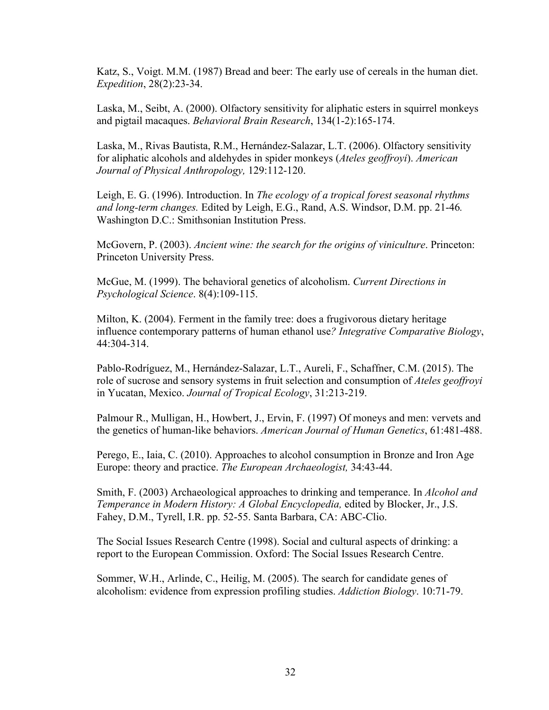Katz, S., Voigt. M.M. (1987) Bread and beer: The early use of cereals in the human diet. *Expedition*, 28(2):23-34.

Laska, M., Seibt, A. (2000). Olfactory sensitivity for aliphatic esters in squirrel monkeys and pigtail macaques. *Behavioral Brain Research*, 134(1-2):165-174.

Laska, M., Rivas Bautista, R.M., Hernández-Salazar, L.T. (2006). Olfactory sensitivity for aliphatic alcohols and aldehydes in spider monkeys (*Ateles geoffroyi*). *American Journal of Physical Anthropology,* 129:112-120.

Leigh, E. G. (1996). Introduction. In *The ecology of a tropical forest seasonal rhythms and long-term changes.* Edited by Leigh, E.G., Rand, A.S. Windsor, D.M. pp. 21-46*.*  Washington D.C.: Smithsonian Institution Press.

McGovern, P. (2003). *Ancient wine: the search for the origins of viniculture*. Princeton: Princeton University Press.

McGue, M. (1999). The behavioral genetics of alcoholism. *Current Directions in Psychological Science*. 8(4):109-115.

Milton, K. (2004). Ferment in the family tree: does a frugivorous dietary heritage influence contemporary patterns of human ethanol use*? Integrative Comparative Biology*, 44:304-314.

Pablo-Rodríguez, M., Hernández-Salazar, L.T., Aureli, F., Schaffner, C.M. (2015). The role of sucrose and sensory systems in fruit selection and consumption of *Ateles geoffroyi* in Yucatan, Mexico. *Journal of Tropical Ecology*, 31:213-219.

Palmour R., Mulligan, H., Howbert, J., Ervin, F. (1997) Of moneys and men: vervets and the genetics of human-like behaviors. *American Journal of Human Genetics*, 61:481-488.

Perego, E., Iaia, C. (2010). Approaches to alcohol consumption in Bronze and Iron Age Europe: theory and practice. *The European Archaeologist,* 34:43-44.

Smith, F. (2003) Archaeological approaches to drinking and temperance. In *Alcohol and Temperance in Modern History: A Global Encyclopedia,* edited by Blocker, Jr., J.S. Fahey, D.M., Tyrell, I.R. pp. 52-55. Santa Barbara, CA: ABC-Clio.

The Social Issues Research Centre **(**1998). Social and cultural aspects of drinking: a report to the European Commission. Oxford: The Social Issues Research Centre.

Sommer, W.H., Arlinde, C., Heilig, M. (2005). The search for candidate genes of alcoholism: evidence from expression profiling studies. *Addiction Biology*. 10:71-79.